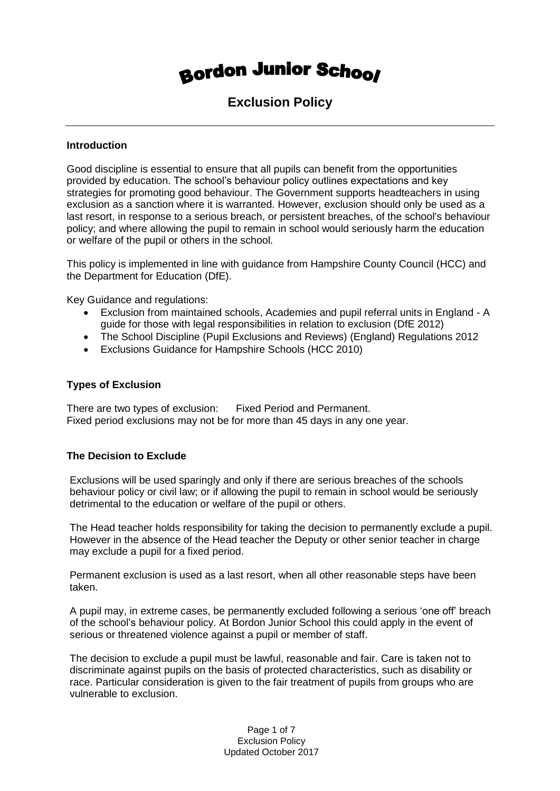# **Bordon Junior School**

### **Exclusion Policy**

#### **Introduction**

Good discipline is essential to ensure that all pupils can benefit from the opportunities provided by education. The school's behaviour policy outlines expectations and key strategies for promoting good behaviour. The Government supports headteachers in using exclusion as a sanction where it is warranted. However, exclusion should only be used as a last resort, in response to a serious breach, or persistent breaches, of the school's behaviour policy; and where allowing the pupil to remain in school would seriously harm the education or welfare of the pupil or others in the school.

This policy is implemented in line with guidance from Hampshire County Council (HCC) and the Department for Education (DfE).

Key Guidance and regulations:

- Exclusion from maintained schools, Academies and pupil referral units in England A guide for those with legal responsibilities in relation to exclusion (DfE 2012)
- The School Discipline (Pupil Exclusions and Reviews) (England) Regulations 2012
- Exclusions Guidance for Hampshire Schools (HCC 2010)

#### **Types of Exclusion**

There are two types of exclusion: Fixed Period and Permanent. Fixed period exclusions may not be for more than 45 days in any one year.

### **The Decision to Exclude**

Exclusions will be used sparingly and only if there are serious breaches of the schools behaviour policy or civil law; or if allowing the pupil to remain in school would be seriously detrimental to the education or welfare of the pupil or others.

The Head teacher holds responsibility for taking the decision to permanently exclude a pupil. However in the absence of the Head teacher the Deputy or other senior teacher in charge may exclude a pupil for a fixed period.

Permanent exclusion is used as a last resort, when all other reasonable steps have been taken.

A pupil may, in extreme cases, be permanently excluded following a serious 'one off' breach of the school's behaviour policy. At Bordon Junior School this could apply in the event of serious or threatened violence against a pupil or member of staff.

The decision to exclude a pupil must be lawful, reasonable and fair. Care is taken not to discriminate against pupils on the basis of protected characteristics, such as disability or race. Particular consideration is given to the fair treatment of pupils from groups who are vulnerable to exclusion.

> Page 1 of 7 Exclusion Policy Updated October 2017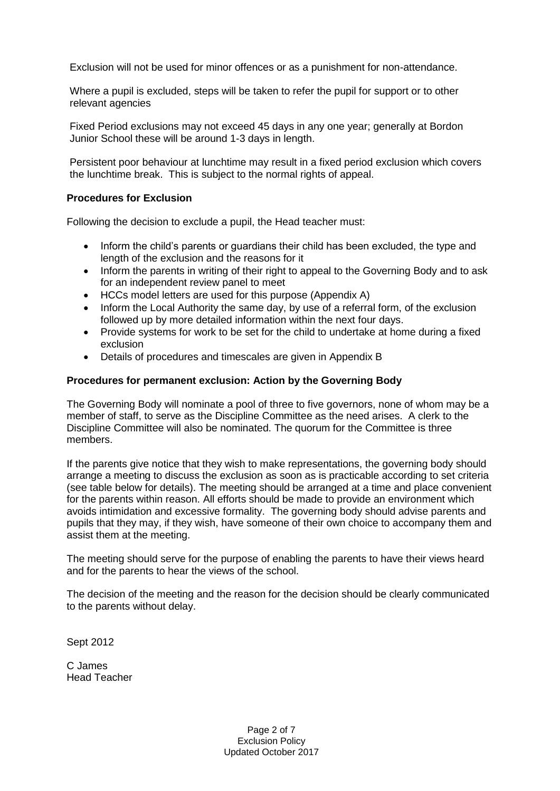Exclusion will not be used for minor offences or as a punishment for non-attendance.

Where a pupil is excluded, steps will be taken to refer the pupil for support or to other relevant agencies

Fixed Period exclusions may not exceed 45 days in any one year; generally at Bordon Junior School these will be around 1-3 days in length.

Persistent poor behaviour at lunchtime may result in a fixed period exclusion which covers the lunchtime break. This is subject to the normal rights of appeal.

#### **Procedures for Exclusion**

Following the decision to exclude a pupil, the Head teacher must:

- Inform the child's parents or guardians their child has been excluded, the type and length of the exclusion and the reasons for it
- Inform the parents in writing of their right to appeal to the Governing Body and to ask for an independent review panel to meet
- HCCs model letters are used for this purpose (Appendix A)
- Inform the Local Authority the same day, by use of a referral form, of the exclusion followed up by more detailed information within the next four days.
- Provide systems for work to be set for the child to undertake at home during a fixed exclusion
- Details of procedures and timescales are given in Appendix B

#### **Procedures for permanent exclusion: Action by the Governing Body**

The Governing Body will nominate a pool of three to five governors, none of whom may be a member of staff, to serve as the Discipline Committee as the need arises. A clerk to the Discipline Committee will also be nominated. The quorum for the Committee is three members.

If the parents give notice that they wish to make representations, the governing body should arrange a meeting to discuss the exclusion as soon as is practicable according to set criteria (see table below for details). The meeting should be arranged at a time and place convenient for the parents within reason. All efforts should be made to provide an environment which avoids intimidation and excessive formality. The governing body should advise parents and pupils that they may, if they wish, have someone of their own choice to accompany them and assist them at the meeting.

The meeting should serve for the purpose of enabling the parents to have their views heard and for the parents to hear the views of the school.

The decision of the meeting and the reason for the decision should be clearly communicated to the parents without delay.

Sept 2012

C James Head Teacher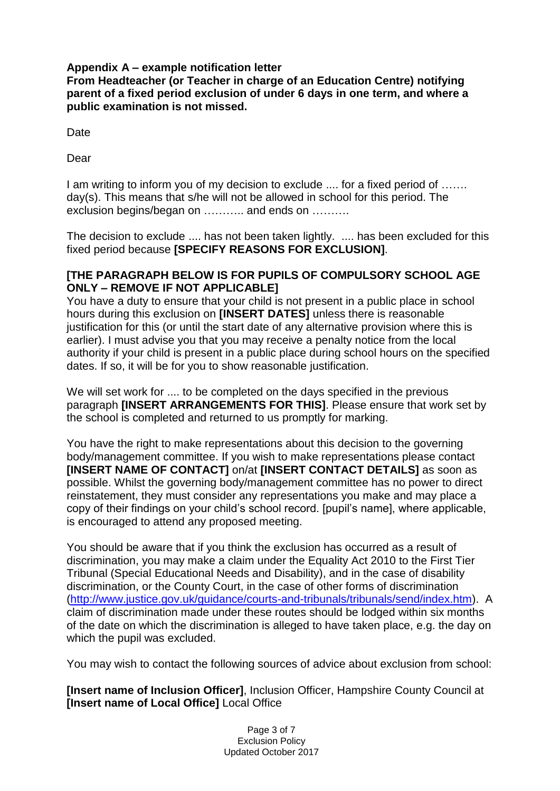### **Appendix A – example notification letter**

**From Headteacher (or Teacher in charge of an Education Centre) notifying parent of a fixed period exclusion of under 6 days in one term, and where a public examination is not missed.**

Date

Dear

I am writing to inform you of my decision to exclude .... for a fixed period of ……. day(s). This means that s/he will not be allowed in school for this period. The exclusion begins/began on ……….. and ends on ……….

The decision to exclude .... has not been taken lightly. .... has been excluded for this fixed period because **[SPECIFY REASONS FOR EXCLUSION]**.

### **[THE PARAGRAPH BELOW IS FOR PUPILS OF COMPULSORY SCHOOL AGE ONLY – REMOVE IF NOT APPLICABLE]**

You have a duty to ensure that your child is not present in a public place in school hours during this exclusion on **[INSERT DATES]** unless there is reasonable justification for this (or until the start date of any alternative provision where this is earlier). I must advise you that you may receive a penalty notice from the local authority if your child is present in a public place during school hours on the specified dates. If so, it will be for you to show reasonable justification.

We will set work for .... to be completed on the days specified in the previous paragraph **[INSERT ARRANGEMENTS FOR THIS]**. Please ensure that work set by the school is completed and returned to us promptly for marking.

You have the right to make representations about this decision to the governing body/management committee. If you wish to make representations please contact **[INSERT NAME OF CONTACT]** on/at **[INSERT CONTACT DETAILS]** as soon as possible. Whilst the governing body/management committee has no power to direct reinstatement, they must consider any representations you make and may place a copy of their findings on your child's school record. [pupil's name], where applicable, is encouraged to attend any proposed meeting.

You should be aware that if you think the exclusion has occurred as a result of discrimination, you may make a claim under the Equality Act 2010 to the First Tier Tribunal (Special Educational Needs and Disability), and in the case of disability discrimination, or the County Court, in the case of other forms of discrimination [\(http://www.justice.gov.uk/guidance/courts-and-tribunals/tribunals/send/index.htm\)](http://www.justice.gov.uk/guidance/courts-and-tribunals/tribunals/send/index.htm). A claim of discrimination made under these routes should be lodged within six months of the date on which the discrimination is alleged to have taken place, e.g. the day on which the pupil was excluded.

You may wish to contact the following sources of advice about exclusion from school:

**[Insert name of Inclusion Officer]**, Inclusion Officer, Hampshire County Council at **[Insert name of Local Office]** Local Office

> Page 3 of 7 Exclusion Policy Updated October 2017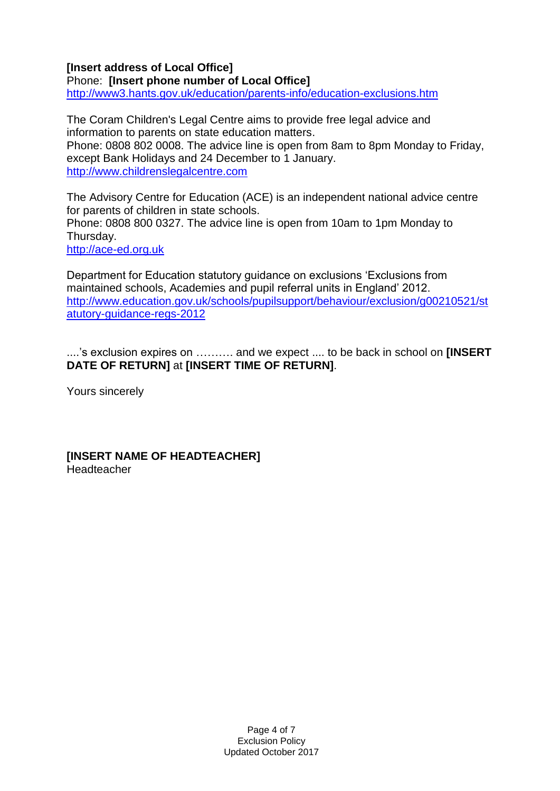### **[Insert address of Local Office]**

Phone: **[Insert phone number of Local Office]** <http://www3.hants.gov.uk/education/parents-info/education-exclusions.htm>

The Coram Children's Legal Centre aims to provide free legal advice and information to parents on state education matters. Phone: 0808 802 0008. The advice line is open from 8am to 8pm Monday to Friday, except Bank Holidays and 24 December to 1 January. [http://www.childrenslegalcentre.com](http://www.childrenslegalcentre.com/)

The Advisory Centre for Education (ACE) is an independent national advice centre for parents of children in state schools. Phone: 0808 800 0327. The advice line is open from 10am to 1pm Monday to Thursday. [http://ace-ed.org.uk](http://ace-ed.org.uk/)

Department for Education statutory guidance on exclusions 'Exclusions from maintained schools, Academies and pupil referral units in England' 2012. [http://www.education.gov.uk/schools/pupilsupport/behaviour/exclusion/g00210521/st](http://www.education.gov.uk/schools/pupilsupport/behaviour/exclusion/g00210521/statutory-guidance-regs-2012) [atutory-guidance-regs-2012](http://www.education.gov.uk/schools/pupilsupport/behaviour/exclusion/g00210521/statutory-guidance-regs-2012)

....'s exclusion expires on ………. and we expect .... to be back in school on **[INSERT DATE OF RETURN]** at **[INSERT TIME OF RETURN]**.

Yours sincerely

**[INSERT NAME OF HEADTEACHER]** Headteacher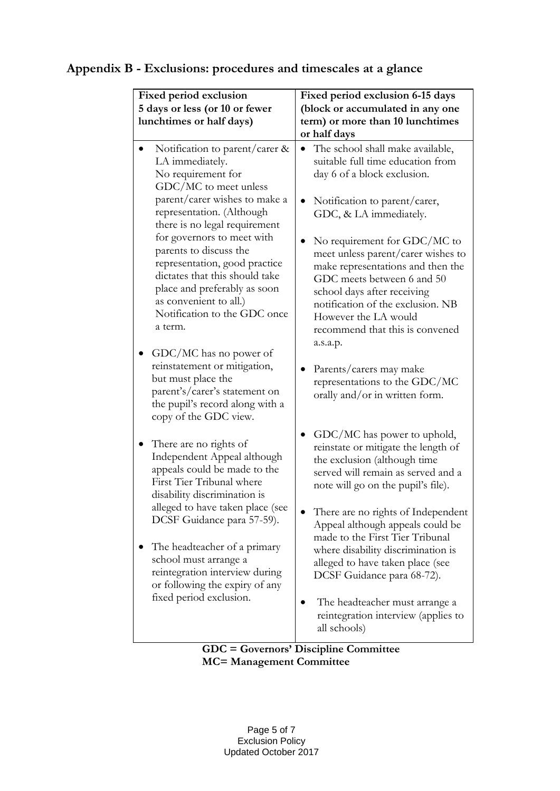#### **Fixed period exclusion 5 days or less (or 10 or fewer lunchtimes or half days) Fixed period exclusion 6-15 days (block or accumulated in any one term) or more than 10 lunchtimes or half days** Notification to parent/carer & LA immediately. No requirement for GDC/MC to meet unless parent/carer wishes to make a representation. (Although there is no legal requirement for governors to meet with parents to discuss the representation, good practice dictates that this should take place and preferably as soon as convenient to all.) Notification to the GDC once a term. • GDC/MC has no power of reinstatement or mitigation, but must place the parent's/carer's statement on the pupil's record along with a copy of the GDC view. • There are no rights of Independent Appeal although appeals could be made to the First Tier Tribunal where disability discrimination is alleged to have taken place (see DCSF Guidance para 57-59). • The headteacher of a primary school must arrange a reintegration interview during or following the expiry of any fixed period exclusion. The school shall make available, suitable full time education from day 6 of a block exclusion. • Notification to parent/carer, GDC, & LA immediately. • No requirement for GDC/MC to meet unless parent/carer wishes to make representations and then the GDC meets between 6 and 50 school days after receiving notification of the exclusion. NB However the LA would recommend that this is convened a.s.a.p. • Parents/carers may make representations to the GDC/MC orally and/or in written form. • GDC/MC has power to uphold, reinstate or mitigate the length of the exclusion (although time served will remain as served and a note will go on the pupil's file). • There are no rights of Independent Appeal although appeals could be made to the First Tier Tribunal where disability discrimination is alleged to have taken place (see DCSF Guidance para 68-72). • The headteacher must arrange a reintegration interview (applies to all schools)

### **Appendix B - Exclusions: procedures and timescales at a glance**

**GDC = Governors' Discipline Committee MC= Management Committee**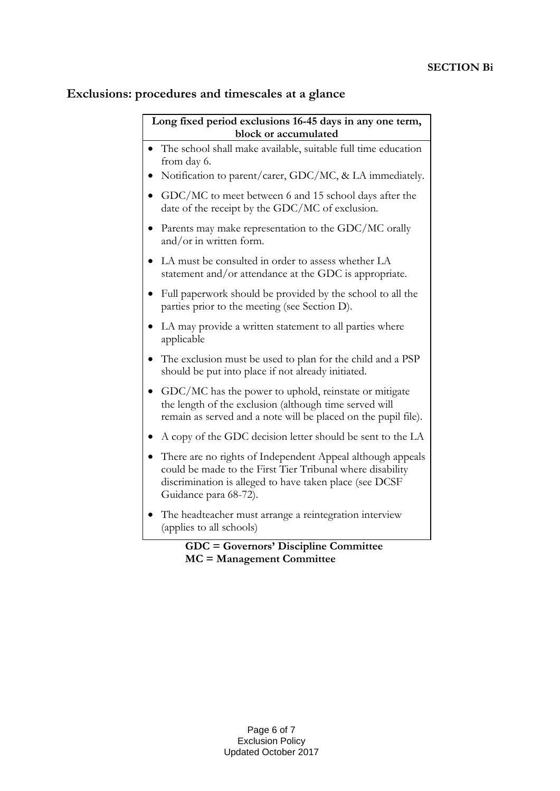## **Exclusions: procedures and timescales at a glance**

| Long fixed period exclusions 16-45 days in any one term,<br>block or accumulated |                                                                                                                                                                                                              |
|----------------------------------------------------------------------------------|--------------------------------------------------------------------------------------------------------------------------------------------------------------------------------------------------------------|
|                                                                                  | The school shall make available, suitable full time education                                                                                                                                                |
|                                                                                  | from day 6.                                                                                                                                                                                                  |
|                                                                                  | Notification to parent/carer, GDC/MC, & LA immediately.                                                                                                                                                      |
|                                                                                  | GDC/MC to meet between 6 and 15 school days after the<br>date of the receipt by the GDC/MC of exclusion.                                                                                                     |
|                                                                                  | Parents may make representation to the GDC/MC orally<br>and/or in written form.                                                                                                                              |
|                                                                                  | LA must be consulted in order to assess whether LA<br>statement and/or attendance at the GDC is appropriate.                                                                                                 |
|                                                                                  | Full paperwork should be provided by the school to all the<br>parties prior to the meeting (see Section D).                                                                                                  |
|                                                                                  | LA may provide a written statement to all parties where<br>applicable                                                                                                                                        |
|                                                                                  | The exclusion must be used to plan for the child and a PSP<br>should be put into place if not already initiated.                                                                                             |
|                                                                                  | GDC/MC has the power to uphold, reinstate or mitigate<br>the length of the exclusion (although time served will<br>remain as served and a note will be placed on the pupil file).                            |
|                                                                                  | A copy of the GDC decision letter should be sent to the LA                                                                                                                                                   |
| $\bullet$                                                                        | There are no rights of Independent Appeal although appeals<br>could be made to the First Tier Tribunal where disability<br>discrimination is alleged to have taken place (see DCSF)<br>Guidance para 68-72). |
|                                                                                  | The headteacher must arrange a reintegration interview<br>(applies to all schools)                                                                                                                           |
| <b>GDC = Governors' Discipline Committee</b>                                     |                                                                                                                                                                                                              |

 **MC = Management Committee**